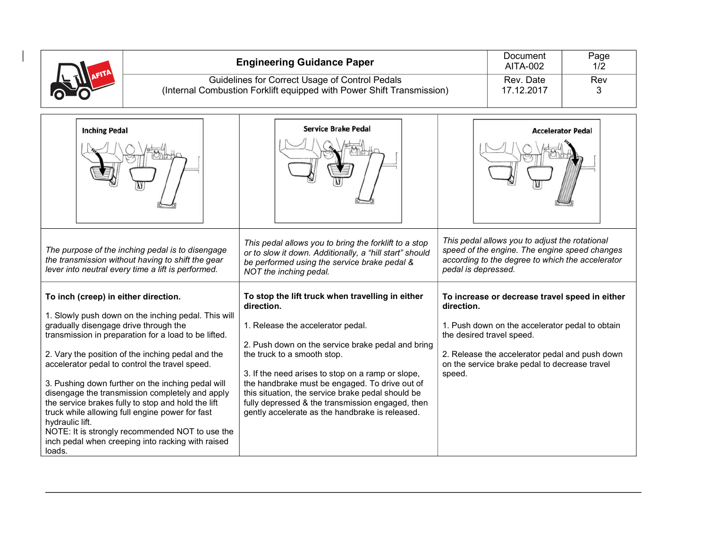|                                                                                                                                                                                                                                                                                                                                                                                                                                                                                                                                                                                                                                                                                                                                                                                                                                        |  | <b>Engineering Guidance Paper</b><br>Guidelines for Correct Usage of Control Pedals<br>(Internal Combustion Forklift equipped with Power Shift Transmission)                                                                                                                                                                                                                                                                                                                                                                                                                                                                                                                           |                      | Document<br><b>AITA-002</b><br>Rev. Date<br>17.12.2017                                                                                                                                                                                                                                                                                                                                                                                      | Page<br>1/2<br>Rev<br>3 |
|----------------------------------------------------------------------------------------------------------------------------------------------------------------------------------------------------------------------------------------------------------------------------------------------------------------------------------------------------------------------------------------------------------------------------------------------------------------------------------------------------------------------------------------------------------------------------------------------------------------------------------------------------------------------------------------------------------------------------------------------------------------------------------------------------------------------------------------|--|----------------------------------------------------------------------------------------------------------------------------------------------------------------------------------------------------------------------------------------------------------------------------------------------------------------------------------------------------------------------------------------------------------------------------------------------------------------------------------------------------------------------------------------------------------------------------------------------------------------------------------------------------------------------------------------|----------------------|---------------------------------------------------------------------------------------------------------------------------------------------------------------------------------------------------------------------------------------------------------------------------------------------------------------------------------------------------------------------------------------------------------------------------------------------|-------------------------|
| <b>Inching Pedal</b><br>The purpose of the inching pedal is to disengage<br>the transmission without having to shift the gear<br>lever into neutral every time a lift is performed.<br>To inch (creep) in either direction.<br>1. Slowly push down on the inching pedal. This will<br>gradually disengage drive through the<br>transmission in preparation for a load to be lifted.<br>2. Vary the position of the inching pedal and the<br>accelerator pedal to control the travel speed.<br>3. Pushing down further on the inching pedal will<br>disengage the transmission completely and apply<br>the service brakes fully to stop and hold the lift<br>truck while allowing full engine power for fast<br>hydraulic lift.<br>NOTE: It is strongly recommended NOT to use the<br>inch pedal when creeping into racking with raised |  | <b>Service Brake Pedal</b><br>This pedal allows you to bring the forklift to a stop<br>or to slow it down. Additionally, a "hill start" should<br>be performed using the service brake pedal &<br>NOT the inching pedal.<br>To stop the lift truck when travelling in either<br>direction.<br>1. Release the accelerator pedal.<br>2. Push down on the service brake pedal and bring<br>the truck to a smooth stop.<br>3. If the need arises to stop on a ramp or slope,<br>the handbrake must be engaged. To drive out of<br>this situation, the service brake pedal should be<br>fully depressed & the transmission engaged, then<br>gently accelerate as the handbrake is released. | direction.<br>speed. | <b>Accelerator Pedal</b><br>This pedal allows you to adjust the rotational<br>speed of the engine. The engine speed changes<br>according to the degree to which the accelerator<br>pedal is depressed.<br>To increase or decrease travel speed in either<br>1. Push down on the accelerator pedal to obtain<br>the desired travel speed.<br>2. Release the accelerator pedal and push down<br>on the service brake pedal to decrease travel |                         |